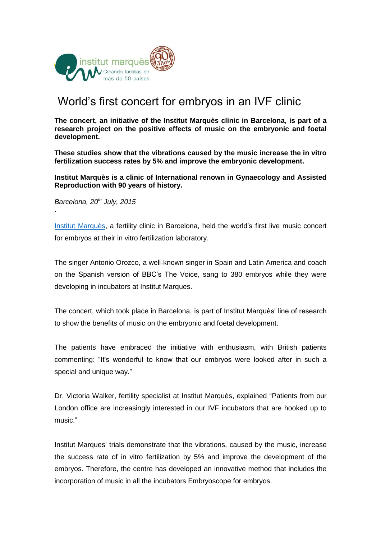

## World's first concert for embryos in an IVF clinic

**The concert, an initiative of the Institut Marquès clinic in Barcelona, is part of a research project on the positive effects of music on the embryonic and foetal development.** 

**These studies show that the vibrations caused by the music increase the in vitro fertilization success rates by 5% and improve the embryonic development.** 

**Institut Marquès is a clinic of International renown in Gynaecology and Assisted Reproduction with 90 years of history.**

*Barcelona, 20th July, 2015*

`

[Institut Marquès,](http://www.institutomarques.com/) a fertility clinic in Barcelona, held the world's first live music concert for embryos at their in vitro fertilization laboratory.

The singer Antonio Orozco, a well-known singer in Spain and Latin America and coach on the Spanish version of BBC's The Voice, sang to 380 embryos while they were developing in incubators at Institut Marques.

The concert, which took place in Barcelona, is part of Institut Marquès' line of research to show the benefits of music on the embryonic and foetal development.

The patients have embraced the initiative with enthusiasm, with British patients commenting: "It's wonderful to know that our embryos were looked after in such a special and unique way."

Dr. Victoria Walker, fertility specialist at Institut Marquès, explained "Patients from our London office are increasingly interested in our IVF incubators that are hooked up to music."

Institut Marques' trials demonstrate that the vibrations, caused by the music, increase the success rate of in vitro fertilization by 5% and improve the development of the embryos. Therefore, the centre has developed an innovative method that includes the incorporation of music in all the incubators Embryoscope for embryos.